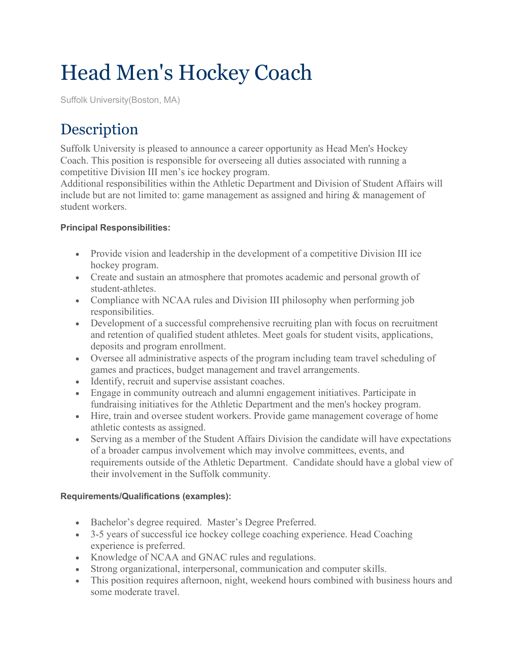## Head Men's Hockey Coach

Suffolk University(Boston, MA)

## **Description**

Suffolk University is pleased to announce a career opportunity as Head Men's Hockey Coach. This position is responsible for overseeing all duties associated with running a competitive Division III men's ice hockey program.

Additional responsibilities within the Athletic Department and Division of Student Affairs will include but are not limited to: game management as assigned and hiring & management of student workers.

## **Principal Responsibilities:**

- Provide vision and leadership in the development of a competitive Division III ice hockey program.
- Create and sustain an atmosphere that promotes academic and personal growth of student-athletes.
- Compliance with NCAA rules and Division III philosophy when performing job responsibilities.
- Development of a successful comprehensive recruiting plan with focus on recruitment and retention of qualified student athletes. Meet goals for student visits, applications, deposits and program enrollment.
- Oversee all administrative aspects of the program including team travel scheduling of games and practices, budget management and travel arrangements.
- Identify, recruit and supervise assistant coaches.
- Engage in community outreach and alumni engagement initiatives. Participate in fundraising initiatives for the Athletic Department and the men's hockey program.
- Hire, train and oversee student workers. Provide game management coverage of home athletic contests as assigned.
- Serving as a member of the Student Affairs Division the candidate will have expectations of a broader campus involvement which may involve committees, events, and requirements outside of the Athletic Department. Candidate should have a global view of their involvement in the Suffolk community.

## **Requirements/Qualifications (examples):**

- Bachelor's degree required. Master's Degree Preferred.
- 3-5 years of successful ice hockey college coaching experience. Head Coaching experience is preferred.
- Knowledge of NCAA and GNAC rules and regulations.
- Strong organizational, interpersonal, communication and computer skills.
- This position requires afternoon, night, weekend hours combined with business hours and some moderate travel.